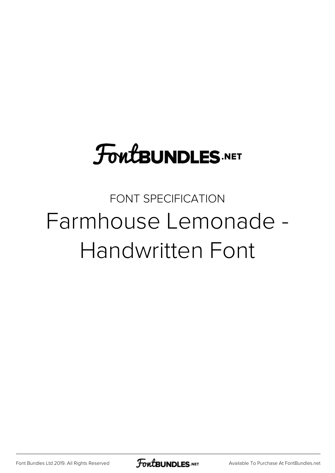# **FoutBUNDLES.NET**

# FONT SPECIFICATION Farmhouse Lemonade - Handwritten Font

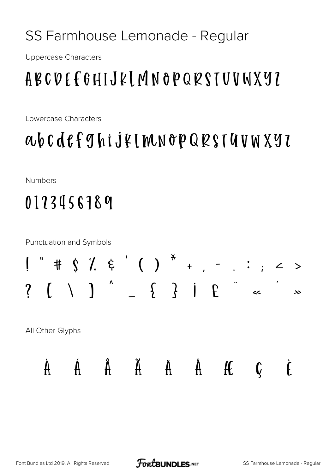#### SS Farmhouse Lemonade - Regular

**Uppercase Characters** 

### **ABCDEFGHIJKLMNOPQRSTUVWX97**

Lowercase Characters

# *abcdefghijklmnopQRSTUVWXYZ*

**Numbers** 

# 0123456789

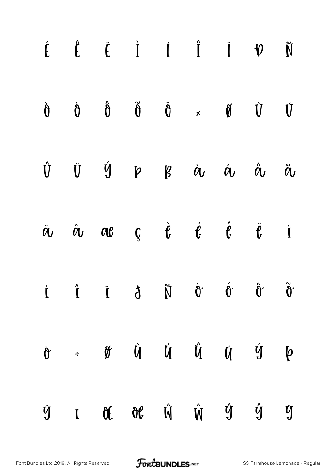|  |  | $\begin{array}{ccccccccccccccccc} \hat{E} & \hat{E} & \hat{E} & \hat{I} & \hat{I} & \hat{I} & \hat{I} & \hat{V} & \hat{N} \end{array}$                                                                                           |           |   |
|--|--|----------------------------------------------------------------------------------------------------------------------------------------------------------------------------------------------------------------------------------|-----------|---|
|  |  | $\dot{\theta} \qquad \dot{\theta} \qquad \ddot{\theta} \qquad \ddot{\theta} \qquad \dot{\theta} \qquad \dot{\theta} \qquad \dot{\theta} \qquad \dot{\theta} \qquad \dot{\theta} \qquad \dot{\theta}$                             |           |   |
|  |  | $\begin{matrix} \hat{U} & \bar{U} & \bar{Y} & p & g & \dot{\alpha} & \dot{\alpha} & \dot{\alpha} & \ddot{\alpha} \end{matrix}$                                                                                                   |           |   |
|  |  | $\ddot{a}$ $\dot{a}$ $\alpha e$ $\dot{g}$ $\dot{e}$ $\dot{e}$ $\ddot{e}$ $\ddot{e}$ i                                                                                                                                            |           |   |
|  |  | $\check{\sigma} \hspace{0.2in} \hat{\sigma} \hspace{0.2in} \check{\sigma} \hspace{0.2in} \check{\sigma} \hspace{0.2in} \check{\sigma} \hspace{0.2in} \check{\sigma} \hspace{0.2in} \check{\sigma} \hspace{0.2in} \check{\sigma}$ |           |   |
|  |  | $\ddot{\sigma}$ + $\dot{\sigma}$ $\dot{\sigma}$ $\dot{\sigma}$ $\dot{\sigma}$ $\dot{\sigma}$ $\dot{\sigma}$ $\dot{\sigma}$ $\dot{\sigma}$ $\dot{\sigma}$ $\dot{\sigma}$                                                          |           |   |
|  |  | $\ddot{y}$ r of of $\hat{W}$ $\hat{W}$ $\hat{y}$                                                                                                                                                                                 | $\hat{y}$ | ÿ |

[Font Bundles Ltd 2019. All Rights Reserved](https://fontbundles.net/) **FoutBUNDLES.NET** [SS Farmhouse Lemonade - Regular](https://fontbundles.net/)